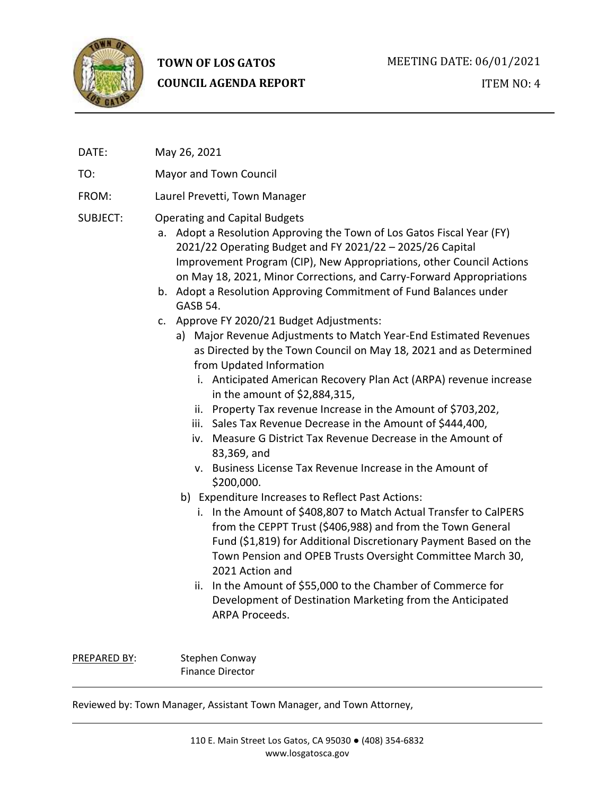

# **TOWN OF LOS GATOS COUNCIL AGENDA REPORT**

ITEM NO: 4

DATE: May 26, 2021

TO: Mayor and Town Council

FROM: Laurel Prevetti, Town Manager

# SUBJECT: Operating and Capital Budgets

- a. Adopt a Resolution Approving the Town of Los Gatos Fiscal Year (FY) 2021/22 Operating Budget and FY 2021/22 – 2025/26 Capital Improvement Program (CIP), New Appropriations, other Council Actions on May 18, 2021, Minor Corrections, and Carry-Forward Appropriations
- b. Adopt a Resolution Approving Commitment of Fund Balances under GASB 54.
- c. Approve FY 2020/21 Budget Adjustments:
	- a) Major Revenue Adjustments to Match Year-End Estimated Revenues as Directed by the Town Council on May 18, 2021 and as Determined from Updated Information
		- i. Anticipated American Recovery Plan Act (ARPA) revenue increase in the amount of \$2,884,315,
		- ii. Property Tax revenue Increase in the Amount of \$703,202,
		- iii. Sales Tax Revenue Decrease in the Amount of \$444,400,
		- iv. Measure G District Tax Revenue Decrease in the Amount of 83,369, and
		- v. Business License Tax Revenue Increase in the Amount of \$200,000.
	- b) Expenditure Increases to Reflect Past Actions:
		- i. In the Amount of \$408,807 to Match Actual Transfer to CalPERS from the CEPPT Trust (\$406,988) and from the Town General Fund (\$1,819) for Additional Discretionary Payment Based on the Town Pension and OPEB Trusts Oversight Committee March 30, 2021 Action and
		- ii. In the Amount of \$55,000 to the Chamber of Commerce for Development of Destination Marketing from the Anticipated ARPA Proceeds.

PREPARED BY: Stephen Conway Finance Director

Reviewed by: Town Manager, Assistant Town Manager, and Town Attorney,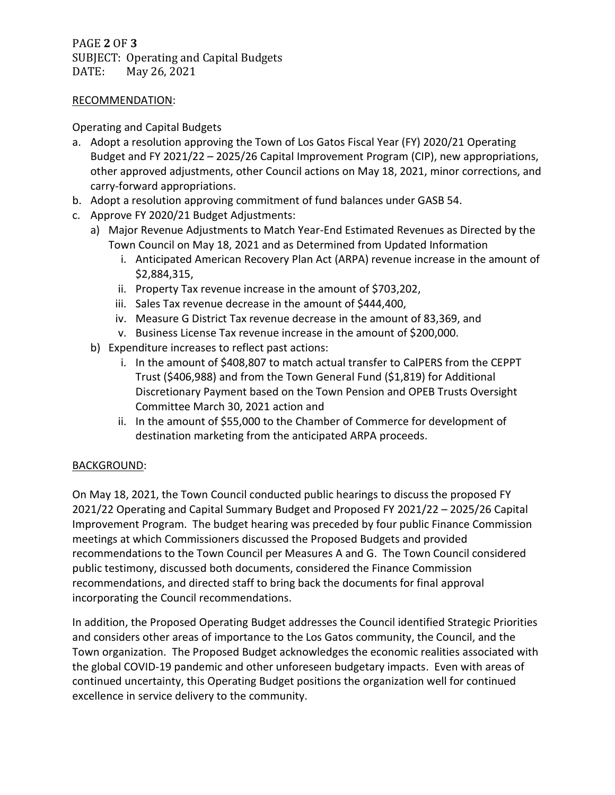PAGE **2** OF **3** SUBJECT: Operating and Capital Budgets DATE: May 26, 2021

#### RECOMMENDATION:

## Operating and Capital Budgets

- a. Adopt a resolution approving the Town of Los Gatos Fiscal Year (FY) 2020/21 Operating Budget and FY 2021/22 – 2025/26 Capital Improvement Program (CIP), new appropriations, other approved adjustments, other Council actions on May 18, 2021, minor corrections, and carry-forward appropriations.
- b. Adopt a resolution approving commitment of fund balances under GASB 54.
- c. Approve FY 2020/21 Budget Adjustments:
	- a) Major Revenue Adjustments to Match Year-End Estimated Revenues as Directed by the Town Council on May 18, 2021 and as Determined from Updated Information
		- i. Anticipated American Recovery Plan Act (ARPA) revenue increase in the amount of \$2,884,315,
		- ii. Property Tax revenue increase in the amount of \$703,202,
		- iii. Sales Tax revenue decrease in the amount of \$444,400,
		- iv. Measure G District Tax revenue decrease in the amount of 83,369, and
		- v. Business License Tax revenue increase in the amount of \$200,000.
	- b) Expenditure increases to reflect past actions:
		- i. In the amount of \$408,807 to match actual transfer to CalPERS from the CEPPT Trust (\$406,988) and from the Town General Fund (\$1,819) for Additional Discretionary Payment based on the Town Pension and OPEB Trusts Oversight Committee March 30, 2021 action and
		- ii. In the amount of \$55,000 to the Chamber of Commerce for development of destination marketing from the anticipated ARPA proceeds.

# BACKGROUND:

On May 18, 2021, the Town Council conducted public hearings to discuss the proposed FY 2021/22 Operating and Capital Summary Budget and Proposed FY 2021/22 – 2025/26 Capital Improvement Program. The budget hearing was preceded by four public Finance Commission meetings at which Commissioners discussed the Proposed Budgets and provided recommendations to the Town Council per Measures A and G. The Town Council considered public testimony, discussed both documents, considered the Finance Commission recommendations, and directed staff to bring back the documents for final approval incorporating the Council recommendations.

In addition, the Proposed Operating Budget addresses the Council identified Strategic Priorities and considers other areas of importance to the Los Gatos community, the Council, and the Town organization. The Proposed Budget acknowledges the economic realities associated with the global COVID-19 pandemic and other unforeseen budgetary impacts. Even with areas of continued uncertainty, this Operating Budget positions the organization well for continued excellence in service delivery to the community.